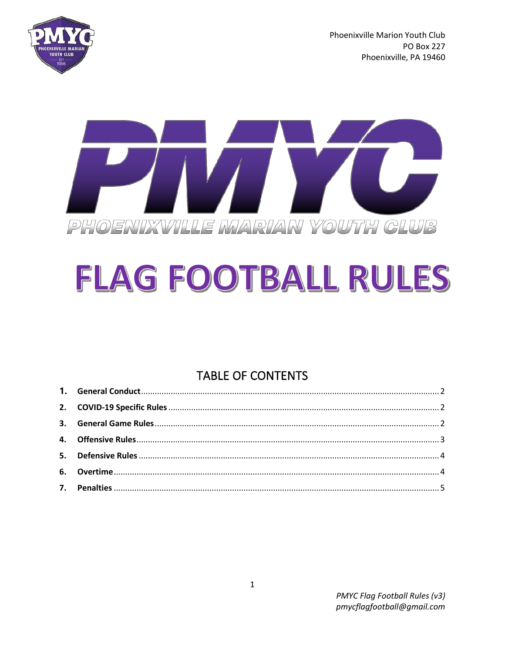

Phoenixville Marion Youth Club **PO Box 227** Phoenixville, PA 19460



# FLAG FOOTBALL RULES

## **TABLE OF CONTENTS**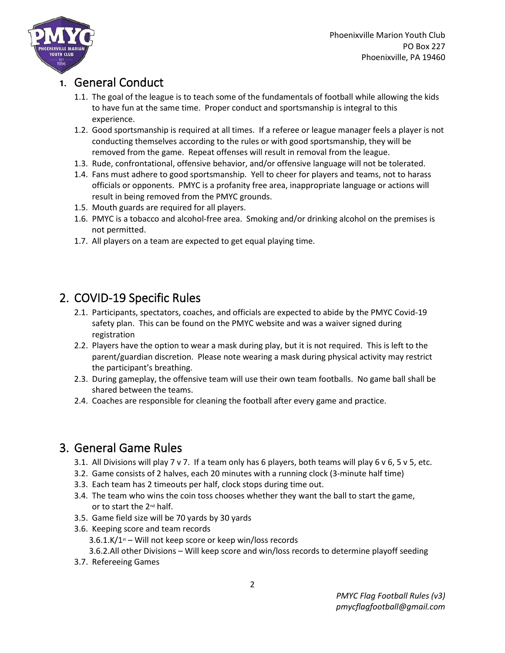

#### <span id="page-1-0"></span>**1.** General Conduct

- 1.1. The goal of the league is to teach some of the fundamentals of football while allowing the kids to have fun at the same time. Proper conduct and sportsmanship is integral to this experience.
- 1.2. Good sportsmanship is required at all times. If a referee or league manager feels a player is not conducting themselves according to the rules or with good sportsmanship, they will be removed from the game. Repeat offenses will result in removal from the league.
- 1.3. Rude, confrontational, offensive behavior, and/or offensive language will not be tolerated.
- 1.4. Fans must adhere to good sportsmanship. Yell to cheer for players and teams, not to harass officials or opponents. PMYC is a profanity free area, inappropriate language or actions will result in being removed from the PMYC grounds.
- 1.5. Mouth guards are required for all players.
- 1.6. PMYC is a tobacco and alcohol-free area. Smoking and/or drinking alcohol on the premises is not permitted.
- 1.7. All players on a team are expected to get equal playing time.

## <span id="page-1-1"></span>2. COVID-19 Specific Rules

- 2.1. Participants, spectators, coaches, and officials are expected to abide by the PMYC Covid-19 safety plan. This can be found on the PMYC website and was a waiver signed during registration
- 2.2. Players have the option to wear a mask during play, but it is not required. This is left to the parent/guardian discretion. Please note wearing a mask during physical activity may restrict the participant's breathing.
- 2.3. During gameplay, the offensive team will use their own team footballs. No game ball shall be shared between the teams.
- 2.4. Coaches are responsible for cleaning the football after every game and practice.

## <span id="page-1-2"></span>3. General Game Rules

- 3.1. All Divisions will play 7 v 7. If a team only has 6 players, both teams will play 6 v 6, 5 v 5, etc.
- 3.2. Game consists of 2 halves, each 20 minutes with a running clock (3-minute half time)
- 3.3. Each team has 2 timeouts per half, clock stops during time out.
- 3.4. The team who wins the coin toss chooses whether they want the ball to start the game, or to start the 2nd half.
- 3.5. Game field size will be 70 yards by 30 yards
- 3.6. Keeping score and team records  $3.6.1$ .K/ $1$ <sup>st</sup> – Will not keep score or keep win/loss records 3.6.2.All other Divisions – Will keep score and win/loss records to determine playoff seeding
- 3.7. Refereeing Games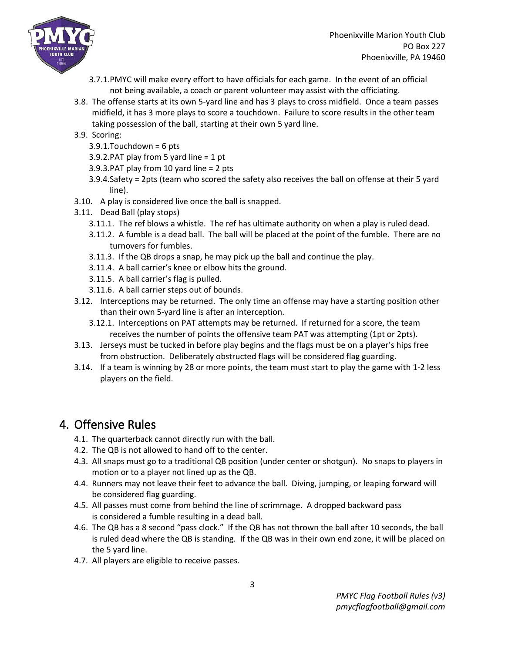

- 3.7.1.PMYC will make every effort to have officials for each game. In the event of an official not being available, a coach or parent volunteer may assist with the officiating.
- 3.8. The offense starts at its own 5-yard line and has 3 plays to cross midfield. Once a team passes midfield, it has 3 more plays to score a touchdown. Failure to score results in the other team taking possession of the ball, starting at their own 5 yard line.
- 3.9. Scoring:
	- 3.9.1.Touchdown = 6 pts
	- 3.9.2.PAT play from 5 yard line = 1 pt
	- 3.9.3.PAT play from 10 yard line = 2 pts
	- 3.9.4.Safety = 2pts (team who scored the safety also receives the ball on offense at their 5 yard line).
- 3.10. A play is considered live once the ball is snapped.
- 3.11. Dead Ball (play stops)
	- 3.11.1. The ref blows a whistle. The ref has ultimate authority on when a play is ruled dead.
	- 3.11.2. A fumble is a dead ball. The ball will be placed at the point of the fumble. There are no turnovers for fumbles.
	- 3.11.3. If the QB drops a snap, he may pick up the ball and continue the play.
	- 3.11.4. A ball carrier's knee or elbow hits the ground.
	- 3.11.5. A ball carrier's flag is pulled.
	- 3.11.6. A ball carrier steps out of bounds.
- 3.12. Interceptions may be returned. The only time an offense may have a starting position other than their own 5-yard line is after an interception.
	- 3.12.1. Interceptions on PAT attempts may be returned. If returned for a score, the team receives the number of points the offensive team PAT was attempting (1pt or 2pts).
- 3.13. Jerseys must be tucked in before play begins and the flags must be on a player's hips free from obstruction. Deliberately obstructed flags will be considered flag guarding.
- 3.14. If a team is winning by 28 or more points, the team must start to play the game with 1-2 less players on the field.

### <span id="page-2-0"></span>4. Offensive Rules

- 4.1. The quarterback cannot directly run with the ball.
- 4.2. The QB is not allowed to hand off to the center.
- 4.3. All snaps must go to a traditional QB position (under center or shotgun). No snaps to players in motion or to a player not lined up as the QB.
- 4.4. Runners may not leave their feet to advance the ball. Diving, jumping, or leaping forward will be considered flag guarding.
- 4.5. All passes must come from behind the line of scrimmage. A dropped backward pass is considered a fumble resulting in a dead ball.
- 4.6. The QB has a 8 second "pass clock." If the QB has not thrown the ball after 10 seconds, the ball is ruled dead where the QB is standing. If the QB was in their own end zone, it will be placed on the 5 yard line.
- 4.7. All players are eligible to receive passes.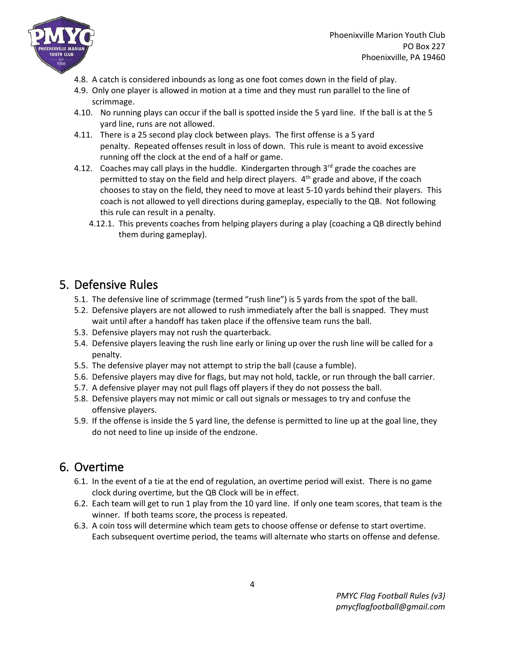

Phoenixville Marion Youth Club PO Box 227 Phoenixville, PA 19460

- 4.8. A catch is considered inbounds as long as one foot comes down in the field of play.
- 4.9. Only one player is allowed in motion at a time and they must run parallel to the line of scrimmage.
- 4.10. No running plays can occur if the ball is spotted inside the 5 yard line. If the ball is at the 5 yard line, runs are not allowed.
- 4.11. There is a 25 second play clock between plays. The first offense is a 5 yard penalty. Repeated offenses result in loss of down. This rule is meant to avoid excessive running off the clock at the end of a half or game.
- 4.12. Coaches may call plays in the huddle. Kindergarten through  $3<sup>rd</sup>$  grade the coaches are permitted to stay on the field and help direct players.  $4<sup>th</sup>$  grade and above, if the coach chooses to stay on the field, they need to move at least 5-10 yards behind their players. This coach is not allowed to yell directions during gameplay, especially to the QB. Not following this rule can result in a penalty.
	- 4.12.1. This prevents coaches from helping players during a play (coaching a QB directly behind them during gameplay).

#### <span id="page-3-0"></span>5. Defensive Rules

- 5.1. The defensive line of scrimmage (termed "rush line") is 5 yards from the spot of the ball.
- 5.2. Defensive players are not allowed to rush immediately after the ball is snapped. They must wait until after a handoff has taken place if the offensive team runs the ball.
- 5.3. Defensive players may not rush the quarterback.
- 5.4. Defensive players leaving the rush line early or lining up over the rush line will be called for a penalty.
- 5.5. The defensive player may not attempt to strip the ball (cause a fumble).
- 5.6. Defensive players may dive for flags, but may not hold, tackle, or run through the ball carrier.
- 5.7. A defensive player may not pull flags off players if they do not possess the ball.
- 5.8. Defensive players may not mimic or call out signals or messages to try and confuse the offensive players.
- 5.9. If the offense is inside the 5 yard line, the defense is permitted to line up at the goal line, they do not need to line up inside of the endzone.

### <span id="page-3-1"></span>6. Overtime

- 6.1. In the event of a tie at the end of regulation, an overtime period will exist. There is no game clock during overtime, but the QB Clock will be in effect.
- 6.2. Each team will get to run 1 play from the 10 yard line. If only one team scores, that team is the winner. If both teams score, the process is repeated.
- 6.3. A coin toss will determine which team gets to choose offense or defense to start overtime. Each subsequent overtime period, the teams will alternate who starts on offense and defense.